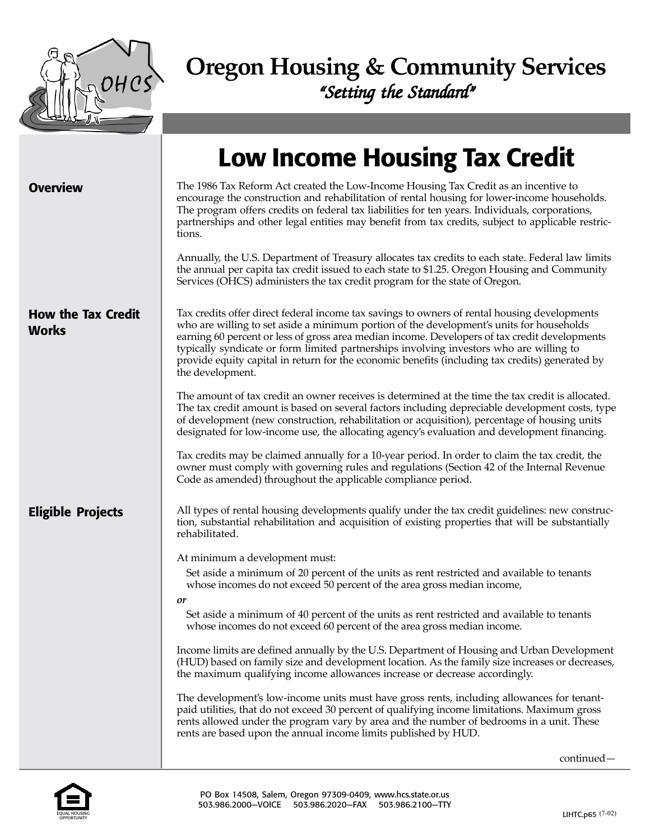

# **Oregon Housing & Community Services** "Setting the Standard"

|                                           | <b>Low Income Housing Tax Credit</b>                                                                                                                                                                                                                                                                                                                                                                                                                                                                        |
|-------------------------------------------|-------------------------------------------------------------------------------------------------------------------------------------------------------------------------------------------------------------------------------------------------------------------------------------------------------------------------------------------------------------------------------------------------------------------------------------------------------------------------------------------------------------|
| <b>Overview</b>                           | The 1986 Tax Reform Act created the Low-Income Housing Tax Credit as an incentive to<br>encourage the construction and rehabilitation of rental housing for lower-income households.<br>The program offers credits on federal tax liabilities for ten years. Individuals, corporations,<br>partnerships and other legal entities may benefit from tax credits, subject to applicable restric-<br>tions.                                                                                                     |
|                                           | Annually, the U.S. Department of Treasury allocates tax credits to each state. Federal law limits<br>the annual per capita tax credit issued to each state to \$1.25. Oregon Housing and Community<br>Services (OHCS) administers the tax credit program for the state of Oregon.                                                                                                                                                                                                                           |
| <b>How the Tax Credit</b><br><b>Works</b> | Tax credits offer direct federal income tax savings to owners of rental housing developments<br>who are willing to set aside a minimum portion of the development's units for households<br>earning 60 percent or less of gross area median income. Developers of tax credit developments<br>typically syndicate or form limited partnerships involving investors who are willing to<br>provide equity capital in return for the economic benefits (including tax credits) generated by<br>the development. |
|                                           | The amount of tax credit an owner receives is determined at the time the tax credit is allocated.<br>The tax credit amount is based on several factors including depreciable development costs, type<br>of development (new construction, rehabilitation or acquisition), percentage of housing units<br>designated for low-income use, the allocating agency's evaluation and development financing.                                                                                                       |
|                                           | Tax credits may be claimed annually for a 10-year period. In order to claim the tax credit, the<br>owner must comply with governing rules and regulations (Section 42 of the Internal Revenue<br>Code as amended) throughout the applicable compliance period.                                                                                                                                                                                                                                              |
| <b>Eligible Projects</b>                  | All types of rental housing developments qualify under the tax credit guidelines: new construc-<br>tion, substantial rehabilitation and acquisition of existing properties that will be substantially<br>rehabilitated.                                                                                                                                                                                                                                                                                     |
|                                           | At minimum a development must:<br>Set aside a minimum of 20 percent of the units as rent restricted and available to tenants<br>whose incomes do not exceed 50 percent of the area gross median income,<br>or                                                                                                                                                                                                                                                                                               |
|                                           | Set aside a minimum of 40 percent of the units as rent restricted and available to tenants<br>whose incomes do not exceed 60 percent of the area gross median income.                                                                                                                                                                                                                                                                                                                                       |
|                                           | Income limits are defined annually by the U.S. Department of Housing and Urban Development<br>(HUD) based on family size and development location. As the family size increases or decreases,<br>the maximum qualifying income allowances increase or decrease accordingly.                                                                                                                                                                                                                                 |
|                                           | The development's low-income units must have gross rents, including allowances for tenant-<br>paid utilities, that do not exceed 30 percent of qualifying income limitations. Maximum gross<br>rents allowed under the program vary by area and the number of bedrooms in a unit. These<br>rents are based upon the annual income limits published by HUD.                                                                                                                                                  |



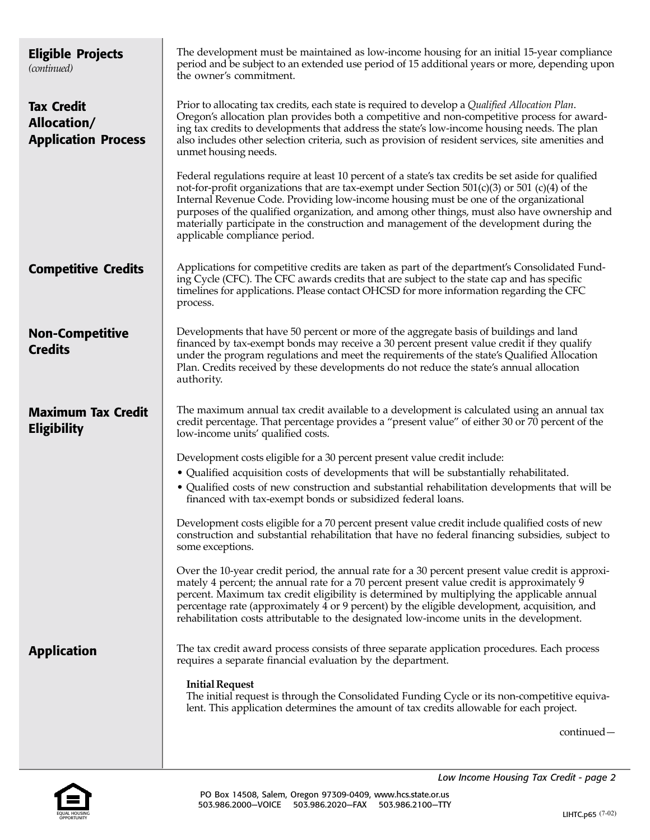| <b>Eligible Projects</b><br>(continued)                        | The development must be maintained as low-income housing for an initial 15-year compliance<br>period and be subject to an extended use period of 15 additional years or more, depending upon<br>the owner's commitment.                                                                                                                                                                                                                                                                                                      |
|----------------------------------------------------------------|------------------------------------------------------------------------------------------------------------------------------------------------------------------------------------------------------------------------------------------------------------------------------------------------------------------------------------------------------------------------------------------------------------------------------------------------------------------------------------------------------------------------------|
| <b>Tax Credit</b><br>Allocation/<br><b>Application Process</b> | Prior to allocating tax credits, each state is required to develop a Qualified Allocation Plan.<br>Oregon's allocation plan provides both a competitive and non-competitive process for award-<br>ing tax credits to developments that address the state's low-income housing needs. The plan<br>also includes other selection criteria, such as provision of resident services, site amenities and<br>unmet housing needs.                                                                                                  |
|                                                                | Federal regulations require at least 10 percent of a state's tax credits be set aside for qualified<br>not-for-profit organizations that are tax-exempt under Section $501(c)(3)$ or $501(c)(4)$ of the<br>Internal Revenue Code. Providing low-income housing must be one of the organizational<br>purposes of the qualified organization, and among other things, must also have ownership and<br>materially participate in the construction and management of the development during the<br>applicable compliance period. |
| <b>Competitive Credits</b>                                     | Applications for competitive credits are taken as part of the department's Consolidated Fund-<br>ing Cycle (CFC). The CFC awards credits that are subject to the state cap and has specific<br>timelines for applications. Please contact OHCSD for more information regarding the CFC<br>process.                                                                                                                                                                                                                           |
| <b>Non-Competitive</b><br><b>Credits</b>                       | Developments that have 50 percent or more of the aggregate basis of buildings and land<br>financed by tax-exempt bonds may receive a 30 percent present value credit if they qualify<br>under the program regulations and meet the requirements of the state's Qualified Allocation<br>Plan. Credits received by these developments do not reduce the state's annual allocation<br>authority.                                                                                                                                |
| <b>Maximum Tax Credit</b><br><b>Eligibility</b>                | The maximum annual tax credit available to a development is calculated using an annual tax<br>credit percentage. That percentage provides a "present value" of either 30 or 70 percent of the<br>low-income units' qualified costs.                                                                                                                                                                                                                                                                                          |
|                                                                | Development costs eligible for a 30 percent present value credit include:                                                                                                                                                                                                                                                                                                                                                                                                                                                    |
|                                                                | • Qualified acquisition costs of developments that will be substantially rehabilitated.                                                                                                                                                                                                                                                                                                                                                                                                                                      |
|                                                                | • Qualified costs of new construction and substantial rehabilitation developments that will be<br>financed with tax-exempt bonds or subsidized federal loans.                                                                                                                                                                                                                                                                                                                                                                |
|                                                                | Development costs eligible for a 70 percent present value credit include qualified costs of new<br>construction and substantial rehabilitation that have no federal financing subsidies, subject to<br>some exceptions.                                                                                                                                                                                                                                                                                                      |
|                                                                | Over the 10-year credit period, the annual rate for a 30 percent present value credit is approxi-<br>mately 4 percent; the annual rate for a 70 percent present value credit is approximately 9<br>percent. Maximum tax credit eligibility is determined by multiplying the applicable annual<br>percentage rate (approximately 4 or 9 percent) by the eligible development, acquisition, and<br>rehabilitation costs attributable to the designated low-income units in the development.                                    |
| <b>Application</b>                                             | The tax credit award process consists of three separate application procedures. Each process<br>requires a separate financial evaluation by the department.                                                                                                                                                                                                                                                                                                                                                                  |
|                                                                | <b>Initial Request</b><br>The initial request is through the Consolidated Funding Cycle or its non-competitive equiva-<br>lent. This application determines the amount of tax credits allowable for each project.                                                                                                                                                                                                                                                                                                            |
|                                                                | continued-                                                                                                                                                                                                                                                                                                                                                                                                                                                                                                                   |
|                                                                |                                                                                                                                                                                                                                                                                                                                                                                                                                                                                                                              |